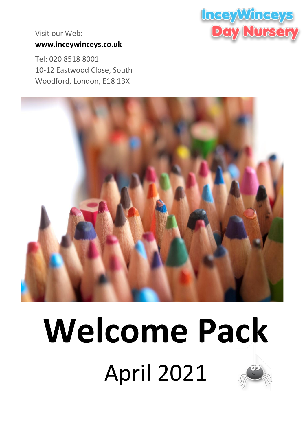

Visit our Web: **[www.inceywinceys.co.uk](http://www.inceywinceys.co.uk/)**

Tel: 020 8518 8001 10-12 Eastwood Close, South Woodford, London, E18 1BX



# **Welcome Pack** April 2021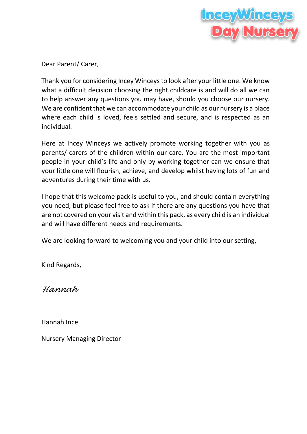

Dear Parent/ Carer,

Thank you for considering Incey Winceys to look after your little one. We know what a difficult decision choosing the right childcare is and will do all we can to help answer any questions you may have, should you choose our nursery. We are confident that we can accommodate your child as our nursery is a place where each child is loved, feels settled and secure, and is respected as an individual.

Here at Incey Winceys we actively promote working together with you as parents/ carers of the children within our care. You are the most important people in your child's life and only by working together can we ensure that your little one will flourish, achieve, and develop whilst having lots of fun and adventures during their time with us.

I hope that this welcome pack is useful to you, and should contain everything you need, but please feel free to ask if there are any questions you have that are not covered on your visit and within this pack, as every child is an individual and will have different needs and requirements.

We are looking forward to welcoming you and your child into our setting,

Kind Regards,

*Hannah* 

Hannah Ince

Nursery Managing Director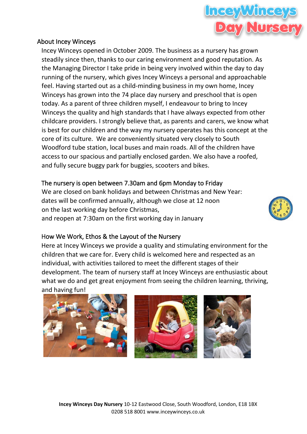#### About Incey Winceys

Incey Winceys opened in October 2009. The business as a nursery has grown steadily since then, thanks to our caring environment and good reputation. As the Managing Director I take pride in being very involved within the day to day running of the nursery, which gives Incey Winceys a personal and approachable feel. Having started out as a child-minding business in my own home, Incey Winceys has grown into the 74 place day nursery and preschool that is open today. As a parent of three children myself, I endeavour to bring to Incey Winceys the quality and high standards that I have always expected from other childcare providers. I strongly believe that, as parents and carers, we know what is best for our children and the way my nursery operates has this concept at the core of its culture. We are conveniently situated very closely to South Woodford tube station, local buses and main roads. All of the children have access to our spacious and partially enclosed garden. We also have a roofed, and fully secure buggy park for buggies, scooters and bikes.

#### The nursery is open between 7.30am and 6pm Monday to Friday

We are closed on bank holidays and between Christmas and New Year: dates will be confirmed annually, although we close at 12 noon on the last working day before Christmas, and reopen at 7:30am on the first working day in January

#### How We Work, Ethos & the Layout of the Nursery

Here at Incey Winceys we provide a quality and stimulating environment for the children that we care for. Every child is welcomed here and respected as an individual, with activities tailored to meet the different stages of their development. The team of nursery staff at Incey Winceys are enthusiastic about what we do and get great enjoyment from seeing the children learning, thriving, and having fun!



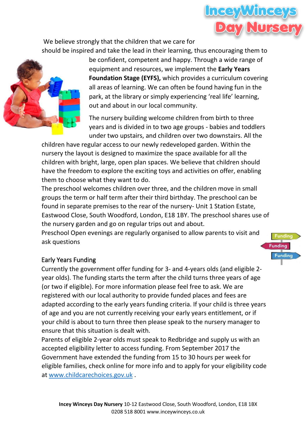

We believe strongly that the children that we care for should be inspired and take the lead in their learning, thus encouraging them to



be confident, competent and happy. Through a wide range of equipment and resources, we implement the **Early Years Foundation Stage (EYFS),** which provides a curriculum covering all areas of learning. We can often be found having fun in the park, at the library or simply experiencing 'real life' learning, out and about in our local community.

The nursery building welcome children from birth to three years and is divided in to two age groups - babies and toddlers under two upstairs, and children over two downstairs. All the

children have regular access to our newly redeveloped garden. Within the nursery the layout is designed to maximize the space available for all the children with bright, large, open plan spaces. We believe that children should have the freedom to explore the exciting toys and activities on offer, enabling them to choose what they want to do.

The preschool welcomes children over three, and the children move in small groups the term or half term after their third birthday. The preschool can be found in separate premises to the rear of the nursery- Unit 1 Station Estate, Eastwood Close, South Woodford, London, E18 1BY. The preschool shares use of the nursery garden and go on regular trips out and about.

Preschool Open evenings are regularly organised to allow parents to visit and ask questions

## **Funding Funding**

#### Early Years Funding

Currently the government offer funding for 3- and 4-years olds (and eligible 2 year olds). The funding starts the term after the child turns three years of age (or two if eligible). For more information please feel free to ask. We are registered with our local authority to provide funded places and fees are adapted according to the early years funding criteria. If your child is three years of age and you are not currently receiving your early years entitlement, or if your child is about to turn three then please speak to the nursery manager to ensure that this situation is dealt with.

Parents of eligible 2-year olds must speak to Redbridge and supply us with an accepted eligibility letter to access funding. From September 2017 the Government have extended the funding from 15 to 30 hours per week for eligible families, check online for more info and to apply for your eligibility code at [www.childcarechoices.gov.uk](http://www.childcarechoices.gov.uk/) .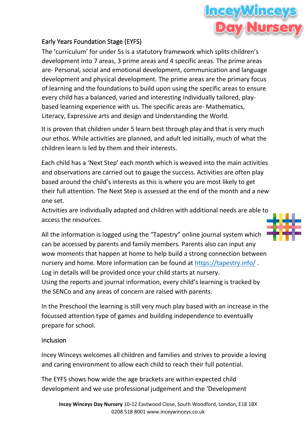

#### Early Years Foundation Stage (EYFS)

The 'curriculum' for under 5s is a statutory framework which splits children's development into 7 areas, 3 prime areas and 4 specific areas. The prime areas are- Personal, social and emotional development, communication and language development and physical development. The prime areas are the primary focus of learning and the foundations to build upon using the specific areas to ensure every child has a balanced, varied and interesting individually tailored, playbased learning experience with us. The specific areas are- Mathematics, Literacy, Expressive arts and design and Understanding the World.

It is proven that children under 5 learn best through play and that is very much our ethos. While activities are planned, and adult led initially, much of what the children learn is led by them and their interests.

Each child has a 'Next Step' each month which is weaved into the main activities and observations are carried out to gauge the success. Activities are often play based around the child's interests as this is where you are most likely to get their full attention. The Next Step is assessed at the end of the month and a new one set.

Activities are individually adapted and children with additional needs are able to access the resources.

All the information is logged using the "Tapestry" online journal system which can be accessed by parents and family members. Parents also can input any wow moments that happen at home to help build a strong connection between nursery and home. More information can be found at<https://tapestry.info/> . Log in details will be provided once your child starts at nursery. Using the reports and journal information, every child's learning is tracked by the SENCo and any areas of concern are raised with parents.

In the Preschool the learning is still very much play based with an increase in the focussed attention type of games and building independence to eventually prepare for school.

#### Inclusion

Incey Winceys welcomes all children and families and strives to provide a loving and caring environment to allow each child to reach their full potential.

The EYFS shows how wide the age brackets are within expected child development and we use professional judgement and the 'Development

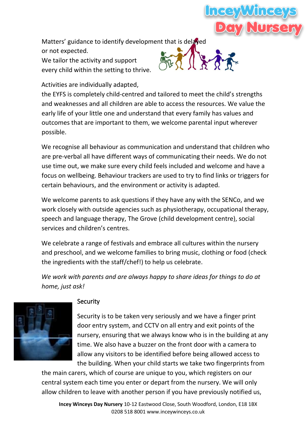

Matters' guidance to identify development that is delayed

or not expected. We tailor the activity and support every child within the setting to thrive.



Activities are individually adapted,

the EYFS is completely child-centred and tailored to meet the child's strengths and weaknesses and all children are able to access the resources. We value the early life of your little one and understand that every family has values and outcomes that are important to them, we welcome parental input wherever possible.

We recognise all behaviour as communication and understand that children who are pre-verbal all have different ways of communicating their needs. We do not use time out, we make sure every child feels included and welcome and have a focus on wellbeing. Behaviour trackers are used to try to find links or triggers for certain behaviours, and the environment or activity is adapted.

We welcome parents to ask questions if they have any with the SENCo, and we work closely with outside agencies such as physiotherapy, occupational therapy, speech and language therapy, The Grove (child development centre), social services and children's centres.

We celebrate a range of festivals and embrace all cultures within the nursery and preschool, and we welcome families to bring music, clothing or food (check the ingredients with the staff/chef!) to help us celebrate.

*We work with parents and are always happy to share ideas for things to do at home, just ask!*



#### **Security**

Security is to be taken very seriously and we have a finger print door entry system, and CCTV on all entry and exit points of the nursery, ensuring that we always know who is in the building at any time. We also have a buzzer on the front door with a camera to allow any visitors to be identified before being allowed access to the building. When your child starts we take two fingerprints from

the main carers, which of course are unique to you, which registers on our central system each time you enter or depart from the nursery. We will only allow children to leave with another person if you have previously notified us,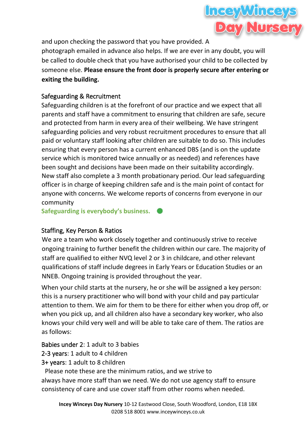

and upon checking the password that you have provided. A

photograph emailed in advance also helps. If we are ever in any doubt, you will be called to double check that you have authorised your child to be collected by someone else. **Please ensure the front door is properly secure after entering or exiting the building.**

#### Safeguarding & Recruitment

Safeguarding children is at the forefront of our practice and we expect that all parents and staff have a commitment to ensuring that children are safe, secure and protected from harm in every area of their wellbeing. We have stringent safeguarding policies and very robust recruitment procedures to ensure that all paid or voluntary staff looking after children are suitable to do so. This includes ensuring that every person has a current enhanced DBS (and is on the update service which is monitored twice annually or as needed) and references have been sought and decisions have been made on their suitability accordingly. New staff also complete a 3 month probationary period. Our lead safeguarding officer is in charge of keeping children safe and is the main point of contact for anyone with concerns. We welcome reports of concerns from everyone in our community

**Safeguarding is everybody's business.** 

#### Staffing, Key Person & Ratios

We are a team who work closely together and continuously strive to receive ongoing training to further benefit the children within our care. The majority of staff are qualified to either NVQ level 2 or 3 in childcare, and other relevant qualifications of staff include degrees in Early Years or Education Studies or an NNEB. Ongoing training is provided throughout the year.

When your child starts at the nursery, he or she will be assigned a key person: this is a nursery practitioner who will bond with your child and pay particular attention to them. We aim for them to be there for either when you drop off, or when you pick up, and all children also have a secondary key worker, who also knows your child very well and will be able to take care of them. The ratios are as follows:

Babies under 2: 1 adult to 3 babies

2-3 years: 1 adult to 4 children

3+ years: 1 adult to 8 children

Please note these are the minimum ratios, and we strive to always have more staff than we need. We do not use agency staff to ensure consistency of care and use cover staff from other rooms when needed.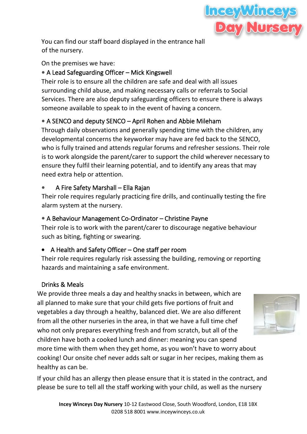

You can find our staff board displayed in the entrance hall of the nursery.

On the premises we have:

#### **•** A Lead Safeguarding Officer – Mick Kingswell

Their role is to ensure all the children are safe and deal with all issues surrounding child abuse, and making necessary calls or referrals to Social Services. There are also deputy safeguarding officers to ensure there is always someone available to speak to in the event of having a concern.

#### **•** A SENCO and deputy SENCO – April Rohen and Abbie Mileham

Through daily observations and generally spending time with the children, any developmental concerns the keyworker may have are fed back to the SENCO, who is fully trained and attends regular forums and refresher sessions. Their role is to work alongside the parent/carer to support the child wherever necessary to ensure they fulfil their learning potential, and to identify any areas that may need extra help or attention.

#### **•** A Fire Safety Marshall – Ella Rajan

Their role requires regularly practicing fire drills, and continually testing the fire alarm system at the nursery.

#### **•** A Behaviour Management Co-Ordinator – Christine Payne

Their role is to work with the parent/carer to discourage negative behaviour such as biting, fighting or swearing.

#### • A Health and Safety Officer – One staff per room

Their role requires regularly risk assessing the building, removing or reporting hazards and maintaining a safe environment.

#### Drinks & Meals

We provide three meals a day and healthy snacks in between, which are all planned to make sure that your child gets five portions of fruit and vegetables a day through a healthy, balanced diet. We are also different from all the other nurseries in the area, in that we have a full time chef who not only prepares everything fresh and from scratch, but all of the children have both a cooked lunch and dinner: meaning you can spend more time with them when they get home, as you won't have to worry about

cooking! Our onsite chef never adds salt or sugar in her recipes, making them as healthy as can be.

If your child has an allergy then please ensure that it is stated in the contract, and please be sure to tell all the staff working with your child, as well as the nursery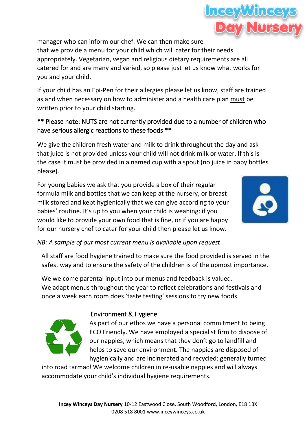manager who can inform our chef. We can then make sure that we provide a menu for your child which will cater for their needs appropriately. Vegetarian, vegan and religious dietary requirements are all catered for and are many and varied, so please just let us know what works for you and your child.

If your child has an Epi-Pen for their allergies please let us know, staff are trained as and when necessary on how to administer and a health care plan must be written prior to your child starting.

#### \*\* Please note: NUTS are not currently provided due to a number of children who have serious allergic reactions to these foods \*\*

We give the children fresh water and milk to drink throughout the day and ask that juice is not provided unless your child will not drink milk or water. If this is the case it must be provided in a named cup with a spout (no juice in baby bottles please).

For young babies we ask that you provide a box of their regular formula milk and bottles that we can keep at the nursery, or breast milk stored and kept hygienically that we can give according to your babies' routine. It's up to you when your child is weaning: if you would like to provide your own food that is fine, or if you are happy for our nursery chef to cater for your child then please let us know.

#### *NB: A sample of our most current menu is available upon request*

All staff are food hygiene trained to make sure the food provided is served in the safest way and to ensure the safety of the children is of the upmost importance.

We welcome parental input into our menus and feedback is valued. We adapt menus throughout the year to reflect celebrations and festivals and once a week each room does 'taste testing' sessions to try new foods.

#### Environment & Hygiene

As part of our ethos we have a personal commitment to being ECO Friendly. We have employed a specialist firm to dispose of our nappies, which means that they don't go to landfill and helps to save our environment. The nappies are disposed of hygienically and are incinerated and recycled: generally turned

into road tarmac! We welcome children in re-usable nappies and will always accommodate your child's individual hygiene requirements.





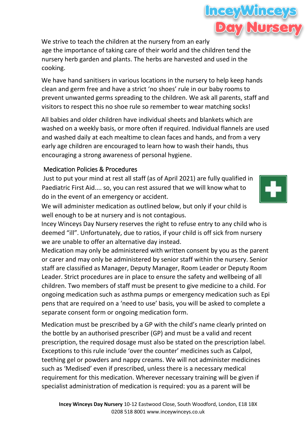We strive to teach the children at the nursery from an early age the importance of taking care of their world and the children tend the nursery herb garden and plants. The herbs are harvested and used in the cooking.

We have hand sanitisers in various locations in the nursery to help keep hands clean and germ free and have a strict 'no shoes' rule in our baby rooms to prevent unwanted germs spreading to the children. We ask all parents, staff and visitors to respect this no shoe rule so remember to wear matching socks!

All babies and older children have individual sheets and blankets which are washed on a weekly basis, or more often if required. Individual flannels are used and washed daily at each mealtime to clean faces and hands, and from a very early age children are encouraged to learn how to wash their hands, thus encouraging a strong awareness of personal hygiene.

#### Medication Policies & Procedures

Just to put your mind at rest all staff (as of April 2021) are fully qualified in Paediatric First Aid.... so, you can rest assured that we will know what to do in the event of an emergency or accident.

We will administer medication as outlined below, but only if your child is well enough to be at nursery and is not contagious.

Incey Winceys Day Nursery reserves the right to refuse entry to any child who is deemed "ill". Unfortunately, due to ratios, if your child is off sick from nursery we are unable to offer an alternative day instead.

Medication may only be administered with written consent by you as the parent or carer and may only be administered by senior staff within the nursery. Senior staff are classified as Manager, Deputy Manager, Room Leader or Deputy Room Leader. Strict procedures are in place to ensure the safety and wellbeing of all children. Two members of staff must be present to give medicine to a child. For ongoing medication such as asthma pumps or emergency medication such as Epi pens that are required on a 'need to use' basis, you will be asked to complete a separate consent form or ongoing medication form.

Medication must be prescribed by a GP with the child's name clearly printed on the bottle by an authorised prescriber (GP) and must be a valid and recent prescription, the required dosage must also be stated on the prescription label. Exceptions to this rule include 'over the counter' medicines such as Calpol, teething gel or powders and nappy creams. We will not administer medicines such as 'Medised' even if prescribed, unless there is a necessary medical requirement for this medication. Wherever necessary training will be given if specialist administration of medication is required: you as a parent will be



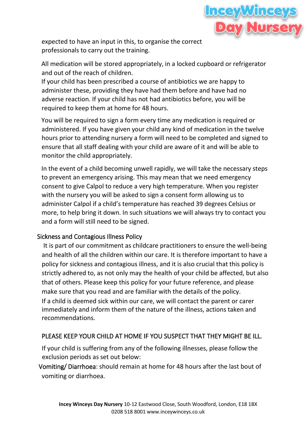

expected to have an input in this, to organise the correct professionals to carry out the training.

All medication will be stored appropriately, in a locked cupboard or refrigerator and out of the reach of children.

If your child has been prescribed a course of antibiotics we are happy to administer these, providing they have had them before and have had no adverse reaction. If your child has not had antibiotics before, you will be required to keep them at home for 48 hours.

You will be required to sign a form every time any medication is required or administered. If you have given your child any kind of medication in the twelve hours prior to attending nursery a form will need to be completed and signed to ensure that all staff dealing with your child are aware of it and will be able to monitor the child appropriately.

In the event of a child becoming unwell rapidly, we will take the necessary steps to prevent an emergency arising. This may mean that we need emergency consent to give Calpol to reduce a very high temperature. When you register with the nursery you will be asked to sign a consent form allowing us to administer Calpol if a child's temperature has reached 39 degrees Celsius or more, to help bring it down. In such situations we will always try to contact you and a form will still need to be signed.

#### Sickness and Contagious Illness Policy

It is part of our commitment as childcare practitioners to ensure the well-being and health of all the children within our care. It is therefore important to have a policy for sickness and contagious illness, and it is also crucial that this policy is strictly adhered to, as not only may the health of your child be affected, but also that of others. Please keep this policy for your future reference, and please make sure that you read and are familiar with the details of the policy. If a child is deemed sick within our care, we will contact the parent or carer immediately and inform them of the nature of the illness, actions taken and recommendations.

#### PLEASE KEEP YOUR CHILD AT HOME IF YOU SUSPECT THAT THEY MIGHT BE ILL.

If your child is suffering from any of the following illnesses, please follow the exclusion periods as set out below:

Vomiting/ Diarrhoea: should remain at home for 48 hours after the last bout of vomiting or diarrhoea.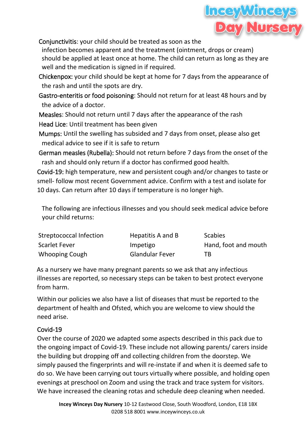

Conjunctivitis: your child should be treated as soon as the

infection becomes apparent and the treatment (ointment, drops or cream) should be applied at least once at home. The child can return as long as they are well and the medication is signed in if required.

 Chickenpox: your child should be kept at home for 7 days from the appearance of the rash and until the spots are dry.

 Gastro-enteritis or food poisoning: Should not return for at least 48 hours and by the advice of a doctor.

 Measles: Should not return until 7 days after the appearance of the rash Head Lice: Until treatment has been given

 Mumps: Until the swelling has subsided and 7 days from onset, please also get medical advice to see if it is safe to return

German measles (Rubella): Should not return before 7 days from the onset of the rash and should only return if a doctor has confirmed good health.

Covid-19: high temperature, new and persistent cough and/or changes to taste or smell- follow most recent Government advice. Confirm with a test and isolate for 10 days. Can return after 10 days if temperature is no longer high.

The following are infectious illnesses and you should seek medical advice before your child returns:

| Streptococcal Infection | Hepatitis A and B      | <b>Scabies</b>       |
|-------------------------|------------------------|----------------------|
| Scarlet Fever           | Impetigo               | Hand, foot and mouth |
| Whooping Cough          | <b>Glandular Fever</b> | TB.                  |

As a nursery we have many pregnant parents so we ask that any infectious illnesses are reported, so necessary steps can be taken to best protect everyone from harm.

Within our policies we also have a list of diseases that must be reported to the department of health and Ofsted, which you are welcome to view should the need arise.

#### Covid-19

Over the course of 2020 we adapted some aspects described in this pack due to the ongoing impact of Covid-19. These include not allowing parents/ carers inside the building but dropping off and collecting children from the doorstep. We simply paused the fingerprints and will re-instate if and when it is deemed safe to do so. We have been carrying out tours virtually where possible, and holding open evenings at preschool on Zoom and using the track and trace system for visitors. We have increased the cleaning rotas and schedule deep cleaning when needed.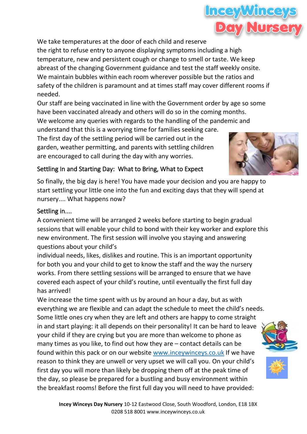We take temperatures at the door of each child and reserve the right to refuse entry to anyone displaying symptoms including a high temperature, new and persistent cough or change to smell or taste. We keep abreast of the changing Government guidance and test the staff weekly onsite. We maintain bubbles within each room wherever possible but the ratios and

safety of the children is paramount and at times staff may cover different rooms if needed.

Our staff are being vaccinated in line with the Government order by age so some have been vaccinated already and others will do so in the coming months. We welcome any queries with regards to the handling of the pandemic and

understand that this is a worrying time for families seeking care. The first day of the settling period will be carried out in the garden, weather permitting, and parents with settling children are encouraged to call during the day with any worries.

#### Settling In and Starting Day: What to Bring, What to Expect

So finally, the big day is here! You have made your decision and you are happy to start settling your little one into the fun and exciting days that they will spend at nursery.... What happens now?

#### Settling in....

A convenient time will be arranged 2 weeks before starting to begin gradual sessions that will enable your child to bond with their key worker and explore this new environment. The first session will involve you staying and answering questions about your child's

individual needs, likes, dislikes and routine. This is an important opportunity for both you and your child to get to know the staff and the way the nursery works. From there settling sessions will be arranged to ensure that we have covered each aspect of your child's routine, until eventually the first full day has arrived!

We increase the time spent with us by around an hour a day, but as with everything we are flexible and can adapt the schedule to meet the child's needs. Some little ones cry when they are left and others are happy to come straight in and start playing: it all depends on their personality! It can be hard to leave your child if they are crying but you are more than welcome to phone as many times as you like, to find out how they are – contact details can be found within this pack or on our website [www.inceywinceys.co.uk](http://www.inceywinceys.co.uk/) If we have reason to think they are unwell or very upset we will call you. On your child's first day you will more than likely be dropping them off at the peak time of the day, so please be prepared for a bustling and busy environment within the breakfast rooms! Before the first full day you will need to have provided:







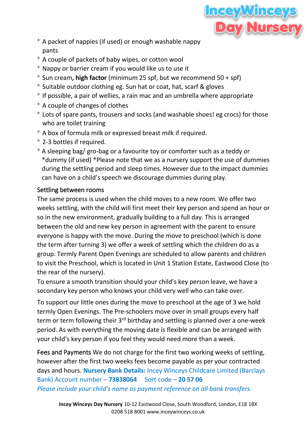

- \* A packet of nappies (if used) or enough washable nappy pants
- \* A couple of packets of baby wipes, or cotton wool
- \* Nappy or barrier cream if you would like us to use it
- \* Sun cream**, high factor** (minimum 25 spf, but we recommend 50 + spf)
- \* Suitable outdoor clothing eg. Sun hat or coat, hat, scarf & gloves
- \* If possible, a pair of wellies, a rain mac and an umbrella where appropriate
- \* A couple of changes of clothes
- \* Lots of spare pants, trousers and socks (and washable shoes! eg crocs) for those who are toilet training
- \* A box of formula milk or expressed breast milk if required.
- \* 2-3 bottles if required.
- \* A sleeping bag/ gro-bag or a favourite toy or comforter such as a teddy or \*dummy (if used) \*Please note that we as a nursery support the use of dummies during the settling period and sleep times. However due to the impact dummies can have on a child's speech we discourage dummies during play.

#### Settling between rooms

The same process is used when the child moves to a new room. We offer two weeks settling, with the child will first meet their key person and spend an hour or so in the new environment, gradually building to a full day. This is arranged between the old and new key person in agreement with the parent to ensure everyone is happy with the move. During the move to preschool (which is done the term after turning 3) we offer a week of settling which the children do as a group. Termly Parent Open Evenings are scheduled to allow parents and children to visit the Preschool, which is located in Unit 1 Station Estate, Eastwood Close (to the rear of the nursery).

To ensure a smooth transition should your child's key person leave, we have a secondary key person who knows your child very well who can take over.

To support our little ones during the move to preschool at the age of 3 we hold termly Open Evenings. The Pre-schoolers move over in small groups every half term or term following their 3<sup>rd</sup> birthday and settling is planned over a one-week period. As with everything the moving date is flexible and can be arranged with your child's key person if you feel they would need more than a week.

Fees and Payments We do not charge for the first two working weeks of settling, however after the first two weeks fees become payable as per your contracted days and hours. **Nursery Bank Details:** Incey Winceys Childcare Limited (Barclays Bank) Account number – **73838064** Sort code – **20 57 06** *Please include your child's name as payment reference on all bank transfers.*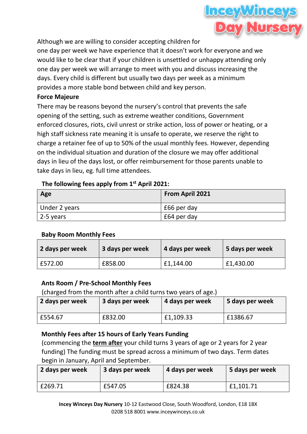

Although we are willing to consider accepting children for

one day per week we have experience that it doesn't work for everyone and we would like to be clear that if your children is unsettled or unhappy attending only one day per week we will arrange to meet with you and discuss increasing the days. Every child is different but usually two days per week as a minimum provides a more stable bond between child and key person.

#### **Force Majeure**

There may be reasons beyond the nursery's control that prevents the safe opening of the setting, such as extreme weather conditions, Government enforced closures, riots, civil unrest or strike action, loss of power or heating, or a high staff sickness rate meaning it is unsafe to operate, we reserve the right to charge a retainer fee of up to 50% of the usual monthly fees. However, depending on the individual situation and duration of the closure we may offer additional days in lieu of the days lost, or offer reimbursement for those parents unable to take days in lieu, eg. full time attendees.

#### **The following fees apply from 1st April 2021:**

| Age               | From April 2021 |
|-------------------|-----------------|
| Under 2 years     | £66 per day     |
| $\vert$ 2-5 years | £64 per day     |

#### **Baby Room Monthly Fees**

| 2 days per week | 3 days per week | 4 days per week | 5 days per week |
|-----------------|-----------------|-----------------|-----------------|
| £572.00         | £858.00         | £1,144.00       | £1,430.00       |

#### **Ants Room / Pre-School Monthly Fees**

(charged from the month after a child turns two years of age.)

| 2 days per week | 3 days per week | 4 days per week | 5 days per week |
|-----------------|-----------------|-----------------|-----------------|
| £554.67         | £832.00         | £1,109.33       | £1386.67        |

#### **Monthly Fees after 15 hours of Early Years Funding**

(commencing the **term after** your child turns 3 years of age or 2 years for 2 year funding) The funding must be spread across a minimum of two days. Term dates begin in January, April and September.

| 2 days per week | 3 days per week | 4 days per week | 5 days per week |
|-----------------|-----------------|-----------------|-----------------|
| £269.71         | £547.05         | £824.38         | £1,101.71       |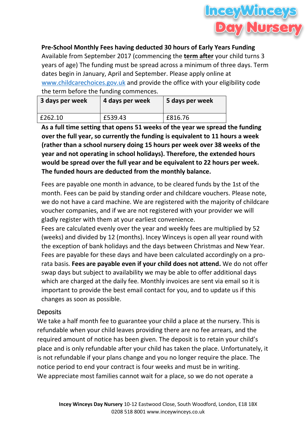

**Pre-School Monthly Fees having deducted 30 hours of Early Years Funding** Available from September 2017 (commencing the **term after** your child turns 3 years of age) The funding must be spread across a minimum of three days. Term dates begin in January, April and September. Please apply online at [www.childcarechoices.gov.uk](http://www.childcarechoices.gov.uk/) and provide the office with your eligibility code the term before the funding commences.

| 3 days per week | 4 days per week | 5 days per week |
|-----------------|-----------------|-----------------|
| £262.10         | £539.43         | £816.76         |

**As a full time setting that opens 51 weeks of the year we spread the funding over the full year, so currently the funding is equivalent to 11 hours a week (rather than a school nursery doing 15 hours per week over 38 weeks of the year and not operating in school holidays). Therefore, the extended hours would be spread over the full year and be equivalent to 22 hours per week. The funded hours are deducted from the monthly balance.**

Fees are payable one month in advance, to be cleared funds by the 1st of the month. Fees can be paid by standing order and childcare vouchers. Please note, we do not have a card machine. We are registered with the majority of childcare voucher companies, and if we are not registered with your provider we will gladly register with them at your earliest convenience.

Fees are calculated evenly over the year and weekly fees are multiplied by 52 (weeks) and divided by 12 (months). Incey Winceys is open all year round with the exception of bank holidays and the days between Christmas and New Year. Fees are payable for these days and have been calculated accordingly on a prorata basis. **Fees are payable even if your child does not attend.** We do not offer swap days but subject to availability we may be able to offer additional days which are charged at the daily fee. Monthly invoices are sent via email so it is important to provide the best email contact for you, and to update us if this changes as soon as possible.

#### **Deposits**

We take a half month fee to guarantee your child a place at the nursery. This is refundable when your child leaves providing there are no fee arrears, and the required amount of notice has been given. The deposit is to retain your child's place and is only refundable after your child has taken the place. Unfortunately, it is not refundable if your plans change and you no longer require the place. The notice period to end your contract is four weeks and must be in writing. We appreciate most families cannot wait for a place, so we do not operate a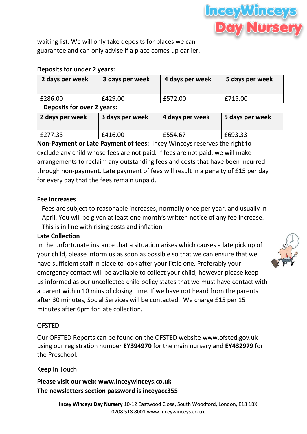

waiting list. We will only take deposits for places we can guarantee and can only advise if a place comes up earlier.

#### **Deposits for under 2 years:**

| 2 days per week            | 3 days per week | 4 days per week | 5 days per week |
|----------------------------|-----------------|-----------------|-----------------|
| £286.00                    | £429.00         | £572.00         | £715.00         |
| Denneits for over 2 years. |                 |                 |                 |

**Deposits for over 2 years:** 

| 2 days per week | 3 days per week | 4 days per week | 5 days per week |
|-----------------|-----------------|-----------------|-----------------|
| £277.33         | £416.00         | £554.67         | £693.33         |

**Non-Payment or Late Payment of fees:** Incey Winceys reserves the right to exclude any child whose fees are not paid. If fees are not paid, we will make arrangements to reclaim any outstanding fees and costs that have been incurred through non-payment. Late payment of fees will result in a penalty of £15 per day for every day that the fees remain unpaid.

#### **Fee Increases**

Fees are subject to reasonable increases, normally once per year, and usually in April. You will be given at least one month's written notice of any fee increase. This is in line with rising costs and inflation.

#### **Late Collection**

In the unfortunate instance that a situation arises which causes a late pick up of your child, please inform us as soon as possible so that we can ensure that we have sufficient staff in place to look after your little one. Preferably your emergency contact will be available to collect your child, however please keep us informed as our uncollected child policy states that we must have contact with a parent within 10 mins of closing time. If we have not heard from the parents after 30 minutes, Social Services will be contacted. We charge £15 per 15 minutes after 6pm for late collection.



#### OFSTED

Our OFSTED Reports can be found on the OFSTED website [www.ofsted.gov.uk](http://www.ofsted.gov.uk/) using our registration number **EY394970** for the main nursery and **EY432979** for the Preschool.

#### Keep In Touch

**Please visit our web: [www.inceywinceys.co.uk](http://www.inceywinceys.co.uk/) The newsletters section password is inceyacc355**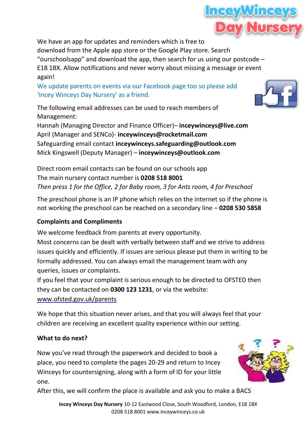

We have an app for updates and reminders which is free to download from the Apple app store or the Google Play store. Search "ourschoolsapp" and download the app, then search for us using our postcode  $-$ E18 1BX. Allow notifications and never worry about missing a message or event again!

We update parents on events via our Facebook page too so please add 'Incey Winceys Day Nursery' as a friend.

The following email addresses can be used to reach members of Management:

Hannah (Managing Director and Finance Officer)– **inceywinceys@live.com** April (Manager and SENCo)- **inceywinceys@rocketmail.com** Safeguarding email contact **inceywinceys.safeguarding@outlook.com** Mick Kingswell (Deputy Manager) – **[inceywinceys@outlook.com](mailto:inceywinceys@outlook.com)**

Direct room email contacts can be found on our schools app The main nursery contact number is **0208 518 8001** *Then press 1 for the Office, 2 for Baby room, 3 for Ants room, 4 for Preschool* 

The preschool phone is an IP phone which relies on the internet so if the phone is not working the preschool can be reached on a secondary line – **0208 530 5858**

#### **Complaints and Compliments**

We welcome feedback from parents at every opportunity.

Most concerns can be dealt with verbally between staff and we strive to address issues quickly and efficiently. If issues are serious please put them in writing to be formally addressed. You can always email the management team with any queries, issues or complaints.

If you feel that your complaint is serious enough to be directed to OFSTED then they can be contacted on **0300 123 1231**, or via the website:

[www.ofsted.gov.uk/parents](http://www.ofsted.gov.uk/parents)

We hope that this situation never arises, and that you will always feel that your children are receiving an excellent quality experience within our setting.

#### **What to do next?**

Now you've read through the paperwork and decided to book a place, you need to complete the pages 20-29 and return to Incey Winceys for countersigning, along with a form of ID for your little one.



After this, we will confirm the place is available and ask you to make a BACS

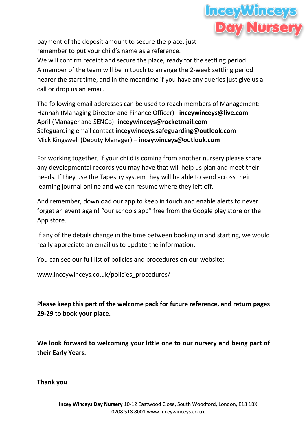

payment of the deposit amount to secure the place, just remember to put your child's name as a reference.

We will confirm receipt and secure the place, ready for the settling period. A member of the team will be in touch to arrange the 2-week settling period nearer the start time, and in the meantime if you have any queries just give us a call or drop us an email.

The following email addresses can be used to reach members of Management: Hannah (Managing Director and Finance Officer)– **inceywinceys@live.com** April (Manager and SENCo)- **inceywinceys@rocketmail.com** Safeguarding email contact **inceywinceys.safeguarding@outlook.com** Mick Kingswell (Deputy Manager) – **[inceywinceys@outlook.com](mailto:inceywinceys@outlook.com)**

For working together, if your child is coming from another nursery please share any developmental records you may have that will help us plan and meet their needs. If they use the Tapestry system they will be able to send across their learning journal online and we can resume where they left off.

And remember, download our app to keep in touch and enable alerts to never forget an event again! "our schools app" free from the Google play store or the App store.

If any of the details change in the time between booking in and starting, we would really appreciate an email us to update the information.

You can see our full list of policies and procedures on our website:

[www.inceywinceys.co.uk/policies\\_procedures/](http://www.inceywinceys.co.uk/policies_procedures/)

**Please keep this part of the welcome pack for future reference, and return pages 29-29 to book your place.**

**We look forward to welcoming your little one to our nursery and being part of their Early Years.**

**Thank you**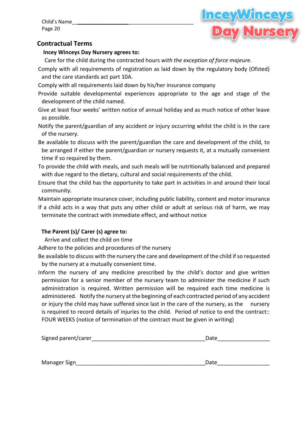Child's Name\_\_**\_\_\_\_\_\_\_\_\_\_\_\_\_\_\_\_\_\_**\_\_\_\_\_\_\_\_\_\_\_\_\_\_\_\_\_\_\_\_\_\_\_ Page 20



#### **Contractual Terms**

**Incey Winceys Day Nursery agrees to:**

Care for the child during the contracted hours *with the exception of force majeure*.

Comply with all requirements of registration as laid down by the regulatory body (Ofsted) and the care standards act part 10A.

Comply with all requirements laid down by his/her insurance company

Provide suitable developmental experiences appropriate to the age and stage of the development of the child named.

Give at least four weeks' written notice of annual holiday and as much notice of other leave as possible.

Notify the parent/guardian of any accident or injury occurring whilst the child is in the care of the nursery.

Be available to discuss with the parent/guardian the care and development of the child, to be arranged if either the parent/guardian or nursery requests it, at a mutually convenient time if so required by them.

To provide the child with meals, and such meals will be nutritionally balanced and prepared with due regard to the dietary, cultural and social requirements of the child.

Ensure that the child has the opportunity to take part in activities in and around their local community.

Maintain appropriate insurance cover, including public liability, content and motor insurance If a child acts in a way that puts any other child or adult at serious risk of harm, we may

terminate the contract with immediate effect, and without notice

#### **The Parent (s)/ Carer (s) agree to:**

Arrive and collect the child on time

Adhere to the policies and procedures of the nursery

Be available to discuss with the nursery the care and development of the child if so requested by the nursery at a mutually convenient time.

Inform the nursery of any medicine prescribed by the child's doctor and give written permission for a senior member of the nursery team to administer the medicine if such administration is required. Written permission will be required each time medicine is administered. Notify the nursery at the beginning of each contracted period of any accident or injury the child may have suffered since last in the care of the nursery, as the nursery is required to record details of injuries to the child. Period of notice to end the contract:: FOUR WEEKS (notice of termination of the contract must be given in writing)

| Signed parent/carer | Date |
|---------------------|------|
|                     |      |
|                     |      |
| Manager Sign_       | Date |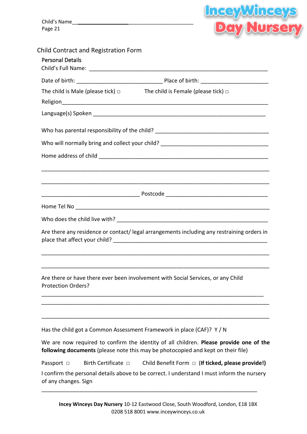Child's Name\_\_**\_\_\_\_\_\_\_\_\_\_\_\_\_\_\_\_\_\_**\_\_\_\_\_\_\_\_\_\_\_\_\_\_\_\_\_\_\_\_\_\_\_ Page 21



| The child is Male (please tick) $\square$ The child is Female (please tick) $\square$                                                                                      |
|----------------------------------------------------------------------------------------------------------------------------------------------------------------------------|
|                                                                                                                                                                            |
|                                                                                                                                                                            |
| Who has parental responsibility of the child? ___________________________________                                                                                          |
| Who will normally bring and collect your child? _________________________________                                                                                          |
|                                                                                                                                                                            |
|                                                                                                                                                                            |
|                                                                                                                                                                            |
|                                                                                                                                                                            |
|                                                                                                                                                                            |
|                                                                                                                                                                            |
| Are there any residence or contact/ legal arrangements including any restraining orders in                                                                                 |
|                                                                                                                                                                            |
| Are there or have there ever been involvement with Social Services, or any Child<br><b>Protection Orders?</b>                                                              |
|                                                                                                                                                                            |
| Has the child got a Common Assessment Framework in place (CAF)? Y / N                                                                                                      |
| We are now required to confirm the identity of all children. Please provide one of the<br>following documents (please note this may be photocopied and kept on their file) |
| Birth Certificate $\Box$<br>Child Benefit Form $\Box$ (If ticked, please provide!)<br>Passport $\Box$                                                                      |
| I confirm the personal details above to be correct. I understand I must inform the nursery<br>of any changes. Sign                                                         |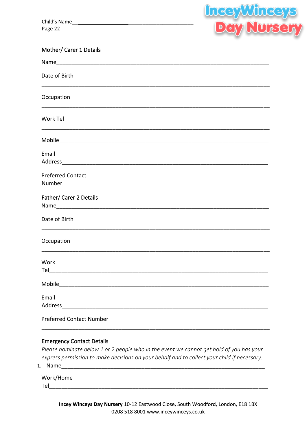Child's Name Page 22



| Mother/ Carer 1 Details |  |  |
|-------------------------|--|--|
|-------------------------|--|--|

| Date of Birth                                                                                                                                                                                                                            |
|------------------------------------------------------------------------------------------------------------------------------------------------------------------------------------------------------------------------------------------|
| Occupation                                                                                                                                                                                                                               |
| Work Tel                                                                                                                                                                                                                                 |
|                                                                                                                                                                                                                                          |
| Email<br>Address Andreas Address Address Address Address Address Address Address Address Address Address Address Address Address Address Address Address Address Address Address Address Address Address Address Address Address Address |
| <b>Preferred Contact</b>                                                                                                                                                                                                                 |
| Father/ Carer 2 Details                                                                                                                                                                                                                  |
| Date of Birth                                                                                                                                                                                                                            |
| Occupation                                                                                                                                                                                                                               |
| Work                                                                                                                                                                                                                                     |
|                                                                                                                                                                                                                                          |
| Email                                                                                                                                                                                                                                    |
| <b>Preferred Contact Number</b>                                                                                                                                                                                                          |

#### **Emergency Contact Details**

Please nominate below 1 or 2 people who in the event we cannot get hold of you has your express permission to make decisions on your behalf and to collect your child if necessary.

1. Name

Work/Home **Telection**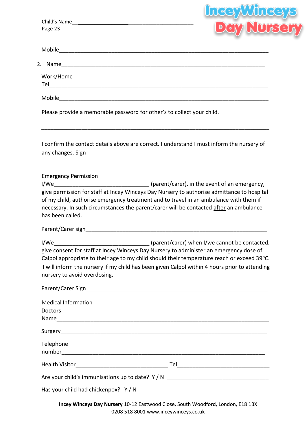|                                              | <b>Lucey</b>                                                                                                                                                                                                                                                                  |
|----------------------------------------------|-------------------------------------------------------------------------------------------------------------------------------------------------------------------------------------------------------------------------------------------------------------------------------|
|                                              | <b>Beir Murserr</b><br><b>Deir Nurserr</b>                                                                                                                                                                                                                                    |
| Page 23                                      |                                                                                                                                                                                                                                                                               |
|                                              |                                                                                                                                                                                                                                                                               |
|                                              |                                                                                                                                                                                                                                                                               |
| Work/Home                                    |                                                                                                                                                                                                                                                                               |
|                                              |                                                                                                                                                                                                                                                                               |
|                                              | Please provide a memorable password for other's to collect your child.                                                                                                                                                                                                        |
| any changes. Sign                            | I confirm the contact details above are correct. I understand I must inform the nursery of                                                                                                                                                                                    |
| <b>Emergency Permission</b>                  | give permission for staff at Incey Winceys Day Nursery to authorise admittance to hospital<br>of my child, authorise emergency treatment and to travel in an ambulance with them if<br>necessary. In such circumstances the parent/carer will be contacted after an ambulance |
| has been called.                             |                                                                                                                                                                                                                                                                               |
|                                              |                                                                                                                                                                                                                                                                               |
| nursery to avoid overdosing.                 | give consent for staff at Incey Winceys Day Nursery to administer an emergency dose of<br>Calpol appropriate to their age to my child should their temperature reach or exceed 39°C.                                                                                          |
|                                              |                                                                                                                                                                                                                                                                               |
| <b>Medical Information</b><br><b>Doctors</b> | I will inform the nursery if my child has been given Calpol within 4 hours prior to attending                                                                                                                                                                                 |
|                                              |                                                                                                                                                                                                                                                                               |
| Telephone                                    |                                                                                                                                                                                                                                                                               |

| Has your child had chickenpox? Y/N |  |  |  |  |
|------------------------------------|--|--|--|--|
|------------------------------------|--|--|--|--|

**Incey Winceys Day Nursery** 10-12 Eastwood Close, South Woodford, London, E18 1BX 0208 518 8001 www.inceywinceys.co.uk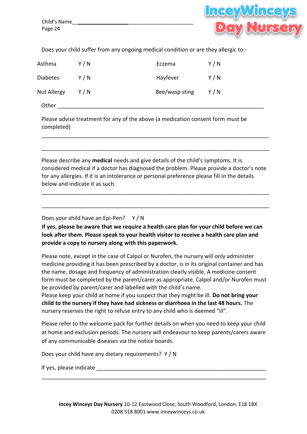

Does your child suffer from any ongoing medical condition or are they allergic to:-

| Asthma          | Y / N | Eczema         | Y/N |
|-----------------|-------|----------------|-----|
| <b>Diabetes</b> | Y/N   | Hayfever       | Y/N |
| Nut Allergy     | Y/N   | Bee/wasp sting | Y/N |
| Other           |       |                |     |

Please advise treatment for any of the above (a medication consent form must be completed)

Please describe any **medical** needs and give details of the child's symptoms. It is considered medical if a doctor has diagnosed the problem. Please provide a doctor's note for any allergies. If it is an intolerance or personal preference please fill in the details below and indicate it as such.

\_\_\_\_\_\_\_\_\_\_\_\_\_\_\_\_\_\_\_\_\_\_\_\_\_\_\_\_\_\_\_\_\_\_\_\_\_\_\_\_\_\_\_\_\_\_\_\_\_\_\_\_\_\_\_\_\_\_\_\_\_\_\_\_\_\_\_\_\_\_\_\_\_\_

\_\_\_\_\_\_\_\_\_\_\_\_\_\_\_\_\_\_\_\_\_\_\_\_\_\_\_\_\_\_\_\_\_\_\_\_\_\_\_\_\_\_\_\_\_\_\_\_\_\_\_\_\_\_\_\_\_\_\_\_\_\_\_\_\_\_\_\_\_\_\_\_\_\_

\_\_\_\_\_\_\_\_\_\_\_\_\_\_\_\_\_\_\_\_\_\_\_\_\_\_\_\_\_\_\_\_\_\_\_\_\_\_\_\_\_\_\_\_\_\_\_\_\_\_\_\_\_\_\_\_\_\_\_\_\_\_\_\_\_\_\_\_\_\_\_\_\_\_

\_\_\_\_\_\_\_\_\_\_\_\_\_\_\_\_\_\_\_\_\_\_\_\_\_\_\_\_\_\_\_\_\_\_\_\_\_\_\_\_\_\_\_\_\_\_\_\_\_\_\_\_\_\_\_\_\_\_\_\_\_\_\_\_\_\_\_\_\_\_\_\_\_\_

Does your child have an Epi-Pen? Y / N

**If yes, please be aware that we require a health care plan for your child before we can look after them. Please speak to your health visitor to receive a health care plan and provide a copy to nursery along with this paperwork.**

Please note, except in the case of Calpol or Nurofen, the nursery will only administer medicine providing it has been prescribed by a doctor, is in its original container and has the name, dosage and frequency of administration clearly visible. A medicine consent form must be completed by the parent/carer as appropriate. Calpol and/or Nurofen must be provided by parent/carer and labelled with the child's name.

Please keep your child at home if you suspect that they might be ill. **Do not bring your child to the nursery if they have had sickness or diarrhoea in the last 48 hours.** The nursery reserves the right to refuse entry to any child who is deemed "ill".

Please refer to the welcome pack for further details on when you need to keep your child at home and exclusion periods. The nursery will endeavour to keep parents/carers aware of any communicable diseases via the notice boards.

\_\_\_\_\_\_\_\_\_\_\_\_\_\_\_\_\_\_\_\_\_\_\_\_\_\_\_\_\_\_\_\_\_\_\_\_\_\_\_\_\_\_\_\_\_\_\_\_\_\_\_\_\_\_\_\_\_\_\_\_\_\_\_\_\_\_\_\_\_\_\_\_\_

Does your child have any dietary requirements? Y / N

If yes, please indicate  $\blacksquare$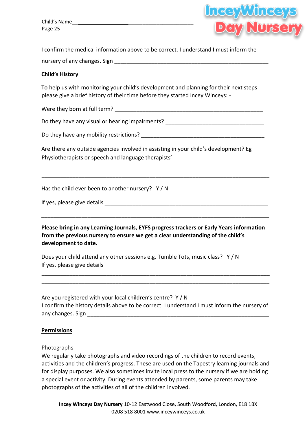Child's Name\_\_**\_\_\_\_\_\_\_\_\_\_\_\_\_\_\_\_\_\_**\_\_\_\_\_\_\_\_\_\_\_\_\_\_\_\_\_\_\_\_\_\_\_ Page 25



I confirm the medical information above to be correct. I understand I must inform the nursery of any changes. Sign \_\_\_\_\_\_\_\_\_\_\_\_\_\_\_\_\_\_\_\_\_\_\_\_\_\_\_\_\_\_\_\_\_\_\_\_\_\_\_\_\_\_\_\_\_\_\_\_\_\_

#### **Child's History**

To help us with monitoring your child's development and planning for their next steps please give a brief history of their time before they started Incey Winceys: -

Were they born at full term? The same of the same of the same of the same of the same of the same of the same o

Do they have any visual or hearing impairments?

Do they have any mobility restrictions? \_\_\_\_\_\_\_\_\_\_\_\_\_\_\_\_\_\_\_\_\_\_\_\_\_\_\_\_\_\_\_\_\_\_\_\_\_\_\_\_

Are there any outside agencies involved in assisting in your child's development? Eg Physiotherapists or speech and language therapists'

\_\_\_\_\_\_\_\_\_\_\_\_\_\_\_\_\_\_\_\_\_\_\_\_\_\_\_\_\_\_\_\_\_\_\_\_\_\_\_\_\_\_\_\_\_\_\_\_\_\_\_\_\_\_\_\_\_\_\_\_\_\_\_\_\_\_\_\_\_\_\_\_\_\_ \_\_\_\_\_\_\_\_\_\_\_\_\_\_\_\_\_\_\_\_\_\_\_\_\_\_\_\_\_\_\_\_\_\_\_\_\_\_\_\_\_\_\_\_\_\_\_\_\_\_\_\_\_\_\_\_\_\_\_\_\_\_\_\_\_\_\_\_\_\_\_\_\_\_

Has the child ever been to another nursery? Y/N

| If yes, please give details |
|-----------------------------|
|-----------------------------|

**Please bring in any Learning Journals, EYFS progress trackers or Early Years information from the previous nursery to ensure we get a clear understanding of the child's development to date.** 

\_\_\_\_\_\_\_\_\_\_\_\_\_\_\_\_\_\_\_\_\_\_\_\_\_\_\_\_\_\_\_\_\_\_\_\_\_\_\_\_\_\_\_\_\_\_\_\_\_\_\_\_\_\_\_\_\_\_\_\_\_\_\_\_\_\_\_\_\_\_\_\_\_\_

Does your child attend any other sessions e.g. Tumble Tots, music class? Y / N If yes, please give details

Are you registered with your local children's centre? Y / N I confirm the history details above to be correct. I understand I must inform the nursery of any changes. Sign **and the set of the set of the set of the set of the set of the set of the set of the set of the set of the set of the set of the set of the set of the set of the set of the set of the set of the set of t** 

\_\_\_\_\_\_\_\_\_\_\_\_\_\_\_\_\_\_\_\_\_\_\_\_\_\_\_\_\_\_\_\_\_\_\_\_\_\_\_\_\_\_\_\_\_\_\_\_\_\_\_\_\_\_\_\_\_\_\_\_\_\_\_\_\_\_\_\_\_\_\_\_\_\_ \_\_\_\_\_\_\_\_\_\_\_\_\_\_\_\_\_\_\_\_\_\_\_\_\_\_\_\_\_\_\_\_\_\_\_\_\_\_\_\_\_\_\_\_\_\_\_\_\_\_\_\_\_\_\_\_\_\_\_\_\_\_\_\_\_\_\_\_\_\_\_\_\_\_

#### **Permissions**

#### Photographs

We regularly take photographs and video recordings of the children to record events, activities and the children's progress. These are used on the Tapestry learning journals and for display purposes. We also sometimes invite local press to the nursery if we are holding a special event or activity. During events attended by parents, some parents may take photographs of the activities of all of the children involved.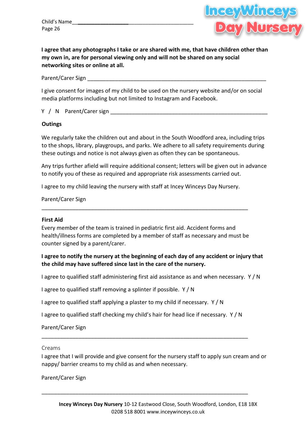Child's Name\_\_**\_\_\_\_\_\_\_\_\_\_\_\_\_\_\_\_\_\_**\_\_\_\_\_\_\_\_\_\_\_\_\_\_\_\_\_\_\_\_\_\_\_ Page 26



**I agree that any photographs I take or are shared with me, that have children other than my own in, are for personal viewing only and will not be shared on any social networking sites or online at all.** 

Parent/Carer Sign **Example 20** 

I give consent for images of my child to be used on the nursery website and/or on social media platforms including but not limited to Instagram and Facebook.

Y / N Parent/Carer sign \_\_\_\_\_\_\_\_\_\_\_\_\_\_\_\_\_\_\_\_\_\_\_\_\_\_\_\_\_\_\_\_\_\_\_\_\_\_\_\_\_\_\_\_\_\_\_\_\_\_\_

#### **Outings**

We regularly take the children out and about in the South Woodford area, including trips to the shops, library, playgroups, and parks. We adhere to all safety requirements during these outings and notice is not always given as often they can be spontaneous.

Any trips further afield will require additional consent; letters will be given out in advance to notify you of these as required and appropriate risk assessments carried out.

I agree to my child leaving the nursery with staff at Incey Winceys Day Nursery.

Parent/Carer Sign

#### **First Aid**

Every member of the team is trained in pediatric first aid. Accident forms and health/illness forms are completed by a member of staff as necessary and must be counter signed by a parent/carer.

\_\_\_\_\_\_\_\_\_\_\_\_\_\_\_\_\_\_\_\_\_\_\_\_\_\_\_\_\_\_\_\_\_\_\_\_\_\_\_\_\_\_\_\_\_\_\_\_\_\_\_\_\_\_\_\_\_\_\_\_\_\_\_\_\_\_\_

#### **I agree to notify the nursery at the beginning of each day of any accident or injury that the child may have suffered since last in the care of the nursery.**

I agree to qualified staff administering first aid assistance as and when necessary. Y / N

I agree to qualified staff removing a splinter if possible. Y / N

I agree to qualified staff applying a plaster to my child if necessary. Y / N

I agree to qualified staff checking my child's hair for head lice if necessary. Y / N

\_\_\_\_\_\_\_\_\_\_\_\_\_\_\_\_\_\_\_\_\_\_\_\_\_\_\_\_\_\_\_\_\_\_\_\_\_\_\_\_\_\_\_\_\_\_\_\_\_\_\_\_\_\_\_\_\_\_\_\_\_\_\_\_\_\_\_

\_\_\_\_\_\_\_\_\_\_\_\_\_\_\_\_\_\_\_\_\_\_\_\_\_\_\_\_\_\_\_\_\_\_\_\_\_\_\_\_\_\_\_\_\_\_\_\_\_\_\_\_\_\_\_\_\_\_\_\_\_\_\_\_\_\_\_

Parent/Carer Sign

#### Creams

I agree that I will provide and give consent for the nursery staff to apply sun cream and or nappy/ barrier creams to my child as and when necessary.

Parent/Carer Sign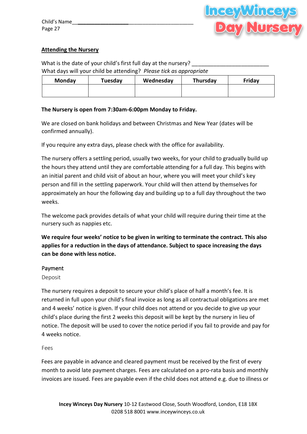

#### **Attending the Nursery**

What is the date of your child's first full day at the nursery? What days will your child be attending? *Please tick as appropriate* 

| <b>Monday</b> | Tuesday | Wednesday | Thursday | Friday |
|---------------|---------|-----------|----------|--------|
|               |         |           |          |        |
|               |         |           |          |        |

#### **The Nursery is open from 7:30am-6:00pm Monday to Friday.**

We are closed on bank holidays and between Christmas and New Year (dates will be confirmed annually).

If you require any extra days, please check with the office for availability.

The nursery offers a settling period, usually two weeks, for your child to gradually build up the hours they attend until they are comfortable attending for a full day. This begins with an initial parent and child visit of about an hour, where you will meet your child's key person and fill in the settling paperwork. Your child will then attend by themselves for approximately an hour the following day and building up to a full day throughout the two weeks.

The welcome pack provides details of what your child will require during their time at the nursery such as nappies etc.

**We require four weeks' notice to be given in writing to terminate the contract. This also applies for a reduction in the days of attendance. Subject to space increasing the days can be done with less notice.**

#### Payment

#### Deposit

The nursery requires a deposit to secure your child's place of half a month's fee. It is returned in full upon your child's final invoice as long as all contractual obligations are met and 4 weeks' notice is given. If your child does not attend or you decide to give up your child's place during the first 2 weeks this deposit will be kept by the nursery in lieu of notice. The deposit will be used to cover the notice period if you fail to provide and pay for 4 weeks notice.

Fees

Fees are payable in advance and cleared payment must be received by the first of every month to avoid late payment charges. Fees are calculated on a pro-rata basis and monthly invoices are issued. Fees are payable even if the child does not attend e.g. due to illness or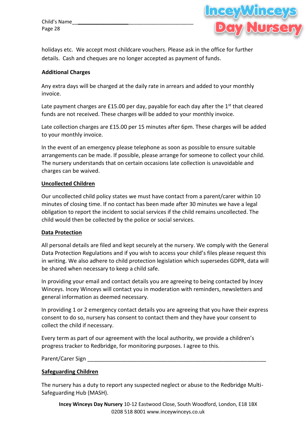Child's Name\_\_**\_\_\_\_\_\_\_\_\_\_\_\_\_\_\_\_\_\_**\_\_\_\_\_\_\_\_\_\_\_\_\_\_\_\_\_\_\_\_\_\_\_ Page 28



holidays etc. We accept most childcare vouchers. Please ask in the office for further details. Cash and cheques are no longer accepted as payment of funds.

#### **Additional Charges**

Any extra days will be charged at the daily rate in arrears and added to your monthly invoice.

Late payment charges are £15.00 per day, payable for each day after the  $1<sup>st</sup>$  that cleared funds are not received. These charges will be added to your monthly invoice.

Late collection charges are £15.00 per 15 minutes after 6pm. These charges will be added to your monthly invoice.

In the event of an emergency please telephone as soon as possible to ensure suitable arrangements can be made. If possible, please arrange for someone to collect your child. The nursery understands that on certain occasions late collection is unavoidable and charges can be waived.

#### **Uncollected Children**

Our uncollected child policy states we must have contact from a parent/carer within 10 minutes of closing time. If no contact has been made after 30 minutes we have a legal obligation to report the incident to social services if the child remains uncollected. The child would then be collected by the police or social services.

#### **Data Protection**

All personal details are filed and kept securely at the nursery. We comply with the General Data Protection Regulations and if you wish to access your child's files please request this in writing. We also adhere to child protection legislation which supersedes GDPR, data will be shared when necessary to keep a child safe.

In providing your email and contact details you are agreeing to being contacted by Incey Winceys. Incey Winceys will contact you in moderation with reminders, newsletters and general information as deemed necessary.

In providing 1 or 2 emergency contact details you are agreeing that you have their express consent to do so, nursery has consent to contact them and they have your consent to collect the child if necessary.

Every term as part of our agreement with the local authority, we provide a children's progress tracker to Redbridge, for monitoring purposes. I agree to this.

Parent/Carer Sign \_\_\_\_\_\_\_\_\_\_\_\_\_\_\_\_\_\_\_\_\_\_\_\_\_\_\_\_\_\_\_\_\_\_\_\_\_\_\_\_\_\_\_\_\_\_\_\_\_\_\_\_\_\_\_\_\_\_

#### **Safeguarding Children**

The nursery has a duty to report any suspected neglect or abuse to the Redbridge Multi-Safeguarding Hub (MASH).

**Incey Winceys Day Nursery** 10-12 Eastwood Close, South Woodford, London, E18 1BX 0208 518 8001 www.inceywinceys.co.uk